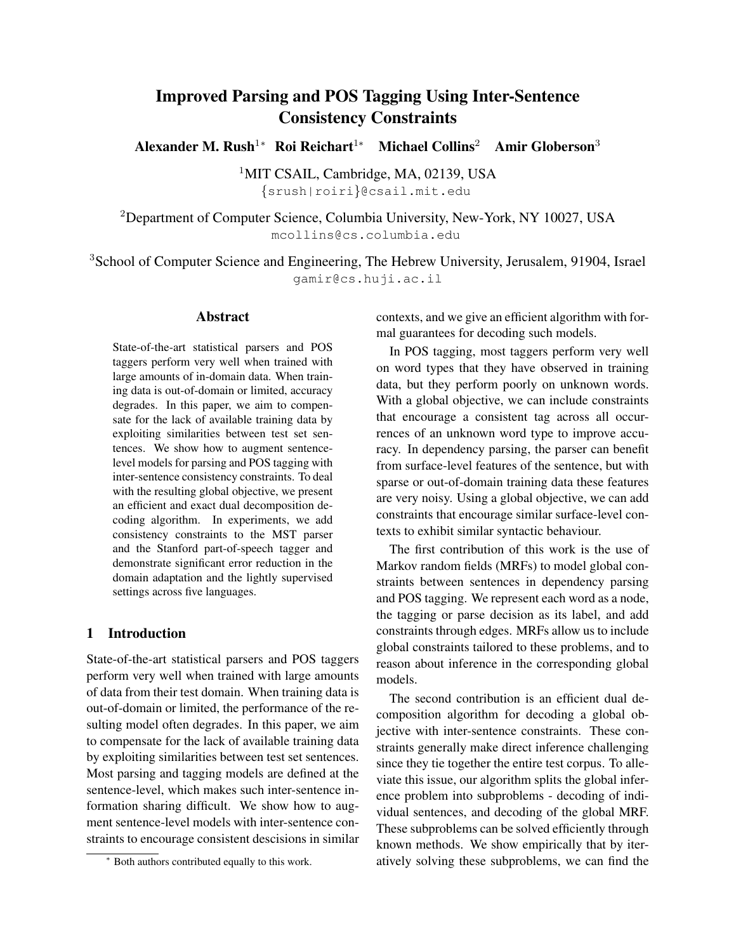# Improved Parsing and POS Tagging Using Inter-Sentence Consistency Constraints

Alexander M. Rush<sup>1</sup>\* Roi Reichart<sup>1</sup>\* Michael Collins<sup>2</sup> Amir Globerson<sup>3</sup>

<sup>1</sup>MIT CSAIL, Cambridge, MA, 02139, USA {srush|roiri}@csail.mit.edu

<sup>2</sup>Department of Computer Science, Columbia University, New-York, NY 10027, USA mcollins@cs.columbia.edu

<sup>3</sup>School of Computer Science and Engineering, The Hebrew University, Jerusalem, 91904, Israel gamir@cs.huji.ac.il

# Abstract

State-of-the-art statistical parsers and POS taggers perform very well when trained with large amounts of in-domain data. When training data is out-of-domain or limited, accuracy degrades. In this paper, we aim to compensate for the lack of available training data by exploiting similarities between test set sentences. We show how to augment sentencelevel models for parsing and POS tagging with inter-sentence consistency constraints. To deal with the resulting global objective, we present an efficient and exact dual decomposition decoding algorithm. In experiments, we add consistency constraints to the MST parser and the Stanford part-of-speech tagger and demonstrate significant error reduction in the domain adaptation and the lightly supervised settings across five languages.

# 1 Introduction

State-of-the-art statistical parsers and POS taggers perform very well when trained with large amounts of data from their test domain. When training data is out-of-domain or limited, the performance of the resulting model often degrades. In this paper, we aim to compensate for the lack of available training data by exploiting similarities between test set sentences. Most parsing and tagging models are defined at the sentence-level, which makes such inter-sentence information sharing difficult. We show how to augment sentence-level models with inter-sentence constraints to encourage consistent descisions in similar

contexts, and we give an efficient algorithm with formal guarantees for decoding such models.

In POS tagging, most taggers perform very well on word types that they have observed in training data, but they perform poorly on unknown words. With a global objective, we can include constraints that encourage a consistent tag across all occurrences of an unknown word type to improve accuracy. In dependency parsing, the parser can benefit from surface-level features of the sentence, but with sparse or out-of-domain training data these features are very noisy. Using a global objective, we can add constraints that encourage similar surface-level contexts to exhibit similar syntactic behaviour.

The first contribution of this work is the use of Markov random fields (MRFs) to model global constraints between sentences in dependency parsing and POS tagging. We represent each word as a node, the tagging or parse decision as its label, and add constraints through edges. MRFs allow us to include global constraints tailored to these problems, and to reason about inference in the corresponding global models.

The second contribution is an efficient dual decomposition algorithm for decoding a global objective with inter-sentence constraints. These constraints generally make direct inference challenging since they tie together the entire test corpus. To alleviate this issue, our algorithm splits the global inference problem into subproblems - decoding of individual sentences, and decoding of the global MRF. These subproblems can be solved efficiently through known methods. We show empirically that by iteratively solving these subproblems, we can find the

<sup>∗</sup> Both authors contributed equally to this work.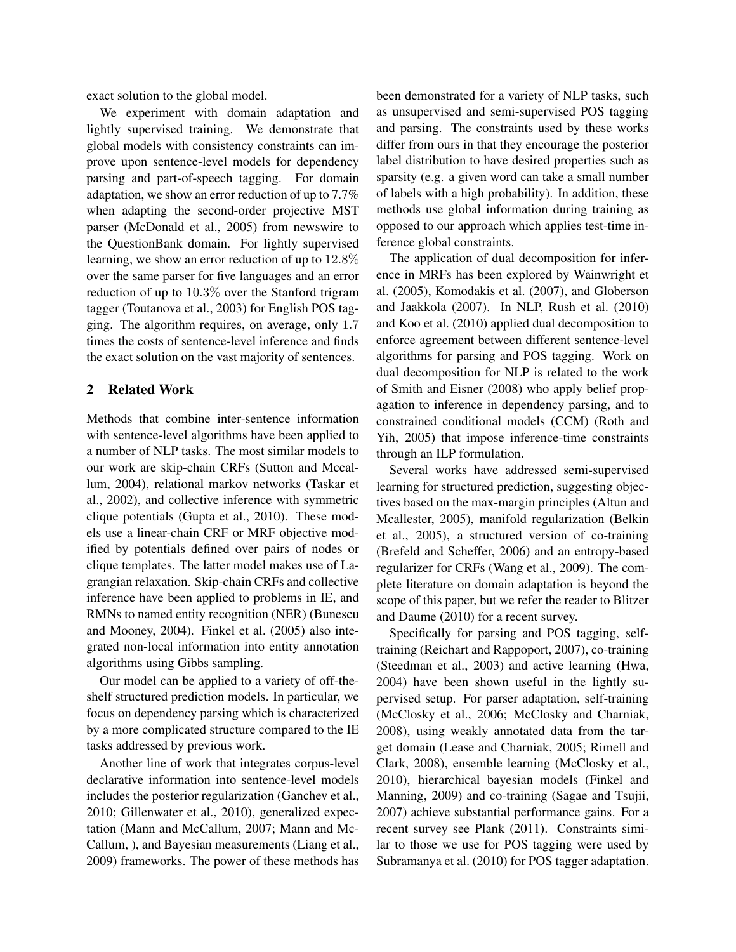exact solution to the global model.

We experiment with domain adaptation and lightly supervised training. We demonstrate that global models with consistency constraints can improve upon sentence-level models for dependency parsing and part-of-speech tagging. For domain adaptation, we show an error reduction of up to 7.7% when adapting the second-order projective MST parser (McDonald et al., 2005) from newswire to the QuestionBank domain. For lightly supervised learning, we show an error reduction of up to 12.8% over the same parser for five languages and an error reduction of up to 10.3% over the Stanford trigram tagger (Toutanova et al., 2003) for English POS tagging. The algorithm requires, on average, only 1.7 times the costs of sentence-level inference and finds the exact solution on the vast majority of sentences.

# 2 Related Work

Methods that combine inter-sentence information with sentence-level algorithms have been applied to a number of NLP tasks. The most similar models to our work are skip-chain CRFs (Sutton and Mccallum, 2004), relational markov networks (Taskar et al., 2002), and collective inference with symmetric clique potentials (Gupta et al., 2010). These models use a linear-chain CRF or MRF objective modified by potentials defined over pairs of nodes or clique templates. The latter model makes use of Lagrangian relaxation. Skip-chain CRFs and collective inference have been applied to problems in IE, and RMNs to named entity recognition (NER) (Bunescu and Mooney, 2004). Finkel et al. (2005) also integrated non-local information into entity annotation algorithms using Gibbs sampling.

Our model can be applied to a variety of off-theshelf structured prediction models. In particular, we focus on dependency parsing which is characterized by a more complicated structure compared to the IE tasks addressed by previous work.

Another line of work that integrates corpus-level declarative information into sentence-level models includes the posterior regularization (Ganchev et al., 2010; Gillenwater et al., 2010), generalized expectation (Mann and McCallum, 2007; Mann and Mc-Callum, ), and Bayesian measurements (Liang et al., 2009) frameworks. The power of these methods has been demonstrated for a variety of NLP tasks, such as unsupervised and semi-supervised POS tagging and parsing. The constraints used by these works differ from ours in that they encourage the posterior label distribution to have desired properties such as sparsity (e.g. a given word can take a small number of labels with a high probability). In addition, these methods use global information during training as opposed to our approach which applies test-time inference global constraints.

The application of dual decomposition for inference in MRFs has been explored by Wainwright et al. (2005), Komodakis et al. (2007), and Globerson and Jaakkola (2007). In NLP, Rush et al. (2010) and Koo et al. (2010) applied dual decomposition to enforce agreement between different sentence-level algorithms for parsing and POS tagging. Work on dual decomposition for NLP is related to the work of Smith and Eisner (2008) who apply belief propagation to inference in dependency parsing, and to constrained conditional models (CCM) (Roth and Yih, 2005) that impose inference-time constraints through an ILP formulation.

Several works have addressed semi-supervised learning for structured prediction, suggesting objectives based on the max-margin principles (Altun and Mcallester, 2005), manifold regularization (Belkin et al., 2005), a structured version of co-training (Brefeld and Scheffer, 2006) and an entropy-based regularizer for CRFs (Wang et al., 2009). The complete literature on domain adaptation is beyond the scope of this paper, but we refer the reader to Blitzer and Daume (2010) for a recent survey.

Specifically for parsing and POS tagging, selftraining (Reichart and Rappoport, 2007), co-training (Steedman et al., 2003) and active learning (Hwa, 2004) have been shown useful in the lightly supervised setup. For parser adaptation, self-training (McClosky et al., 2006; McClosky and Charniak, 2008), using weakly annotated data from the target domain (Lease and Charniak, 2005; Rimell and Clark, 2008), ensemble learning (McClosky et al., 2010), hierarchical bayesian models (Finkel and Manning, 2009) and co-training (Sagae and Tsujii, 2007) achieve substantial performance gains. For a recent survey see Plank (2011). Constraints similar to those we use for POS tagging were used by Subramanya et al. (2010) for POS tagger adaptation.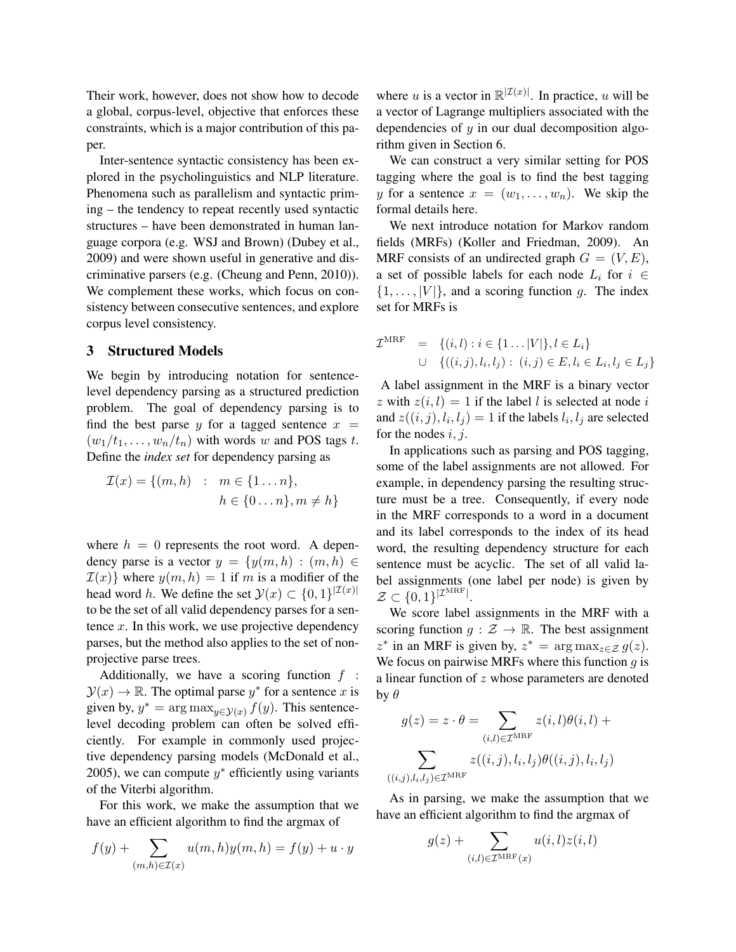Their work, however, does not show how to decode a global, corpus-level, objective that enforces these constraints, which is a major contribution of this paper.

Inter-sentence syntactic consistency has been explored in the psycholinguistics and NLP literature. Phenomena such as parallelism and syntactic priming – the tendency to repeat recently used syntactic structures – have been demonstrated in human language corpora (e.g. WSJ and Brown) (Dubey et al., 2009) and were shown useful in generative and discriminative parsers (e.g. (Cheung and Penn, 2010)). We complement these works, which focus on consistency between consecutive sentences, and explore corpus level consistency.

# 3 Structured Models

We begin by introducing notation for sentencelevel dependency parsing as a structured prediction problem. The goal of dependency parsing is to find the best parse y for a tagged sentence  $x =$  $(w_1/t_1, \ldots, w_n/t_n)$  with words w and POS tags t. Define the *index set* for dependency parsing as

 $\mathcal{I}(x) = \{(m, h) : m \in \{1 \dots n\},\}$  $h \in \{0 \dots n\}, m \neq h\}$ 

where  $h = 0$  represents the root word. A dependency parse is a vector  $y = \{y(m, h) : (m, h) \in$  $\mathcal{I}(x)$  where  $y(m, h) = 1$  if m is a modifier of the head word h. We define the set  $\mathcal{Y}(x) \subset \{0,1\}^{|\mathcal{I}(x)|}$ to be the set of all valid dependency parses for a sentence  $x$ . In this work, we use projective dependency parses, but the method also applies to the set of nonprojective parse trees.

Additionally, we have a scoring function  $f$ :  $\mathcal{Y}(x) \to \mathbb{R}$ . The optimal parse  $y^*$  for a sentence x is given by,  $y^* = \arg \max_{y \in \mathcal{Y}(x)} f(y)$ . This sentencelevel decoding problem can often be solved efficiently. For example in commonly used projective dependency parsing models (McDonald et al., 2005), we can compute  $y^*$  efficiently using variants of the Viterbi algorithm.

For this work, we make the assumption that we have an efficient algorithm to find the argmax of

$$
f(y) + \sum_{(m,h)\in\mathcal{I}(x)} u(m,h)y(m,h) = f(y) + u \cdot y
$$

where u is a vector in  $\mathbb{R}^{|\mathcal{I}(x)|}$ . In practice, u will be a vector of Lagrange multipliers associated with the dependencies of  $y$  in our dual decomposition algorithm given in Section 6.

We can construct a very similar setting for POS tagging where the goal is to find the best tagging y for a sentence  $x = (w_1, \ldots, w_n)$ . We skip the formal details here.

We next introduce notation for Markov random fields (MRFs) (Koller and Friedman, 2009). An MRF consists of an undirected graph  $G = (V, E)$ , a set of possible labels for each node  $L_i$  for  $i \in$  $\{1, \ldots, |V|\}$ , and a scoring function g. The index set for MRFs is

$$
\mathcal{I}^{\text{MRF}} = \{ (i, l) : i \in \{1 \dots |V|\}, l \in L_i \}
$$
  

$$
\cup \{ ((i, j), l_i, l_j) : (i, j) \in E, l_i \in L_i, l_j \in L_j \}
$$

A label assignment in the MRF is a binary vector z with  $z(i, l) = 1$  if the label l is selected at node i and  $z((i, j), l_i, l_j) = 1$  if the labels  $l_i, l_j$  are selected for the nodes  $i, j$ .

In applications such as parsing and POS tagging, some of the label assignments are not allowed. For example, in dependency parsing the resulting structure must be a tree. Consequently, if every node in the MRF corresponds to a word in a document and its label corresponds to the index of its head word, the resulting dependency structure for each sentence must be acyclic. The set of all valid label assignments (one label per node) is given by  $\mathcal{Z} \subset \{0,1\}^{|\mathcal{I}^{\text{MRF}}|}.$ 

We score label assignments in the MRF with a scoring function  $g : \mathcal{Z} \to \mathbb{R}$ . The best assignment  $z^*$  in an MRF is given by,  $z^* = \arg \max_{z \in \mathcal{Z}} g(z)$ . We focus on pairwise MRFs where this function  $q$  is a linear function of z whose parameters are denoted by  $\theta$ 

$$
g(z) = z \cdot \theta = \sum_{(i,l) \in \mathcal{I}^{\text{MRF}}} z(i,l)\theta(i,l) + \sum_{(i,j),l_i,l_j \in \mathcal{I}^{\text{MRF}}} z((i,j),l_i,l_j)\theta((i,j),l_i,l_j)
$$

As in parsing, we make the assumption that we have an efficient algorithm to find the argmax of

$$
g(z) + \sum_{(i,l) \in \mathcal{I}^{\text{MRF}}(x)} u(i,l)z(i,l)
$$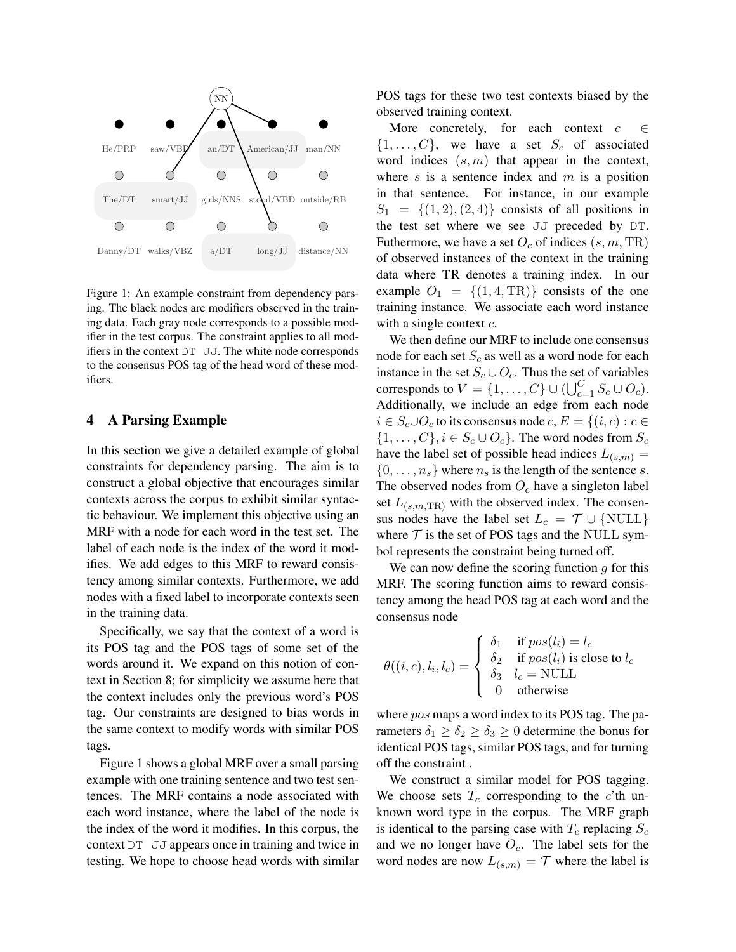

Figure 1: An example constraint from dependency parsing. The black nodes are modifiers observed in the training data. Each gray node corresponds to a possible modifier in the test corpus. The constraint applies to all modifiers in the context  $DT$  JJ. The white node corresponds to the consensus POS tag of the head word of these modifiers.

#### 4 A Parsing Example

In this section we give a detailed example of global constraints for dependency parsing. The aim is to construct a global objective that encourages similar contexts across the corpus to exhibit similar syntactic behaviour. We implement this objective using an MRF with a node for each word in the test set. The label of each node is the index of the word it modifies. We add edges to this MRF to reward consistency among similar contexts. Furthermore, we add nodes with a fixed label to incorporate contexts seen in the training data.

Specifically, we say that the context of a word is its POS tag and the POS tags of some set of the words around it. We expand on this notion of context in Section 8; for simplicity we assume here that the context includes only the previous word's POS tag. Our constraints are designed to bias words in the same context to modify words with similar POS tags.

Figure 1 shows a global MRF over a small parsing example with one training sentence and two test sentences. The MRF contains a node associated with each word instance, where the label of the node is the index of the word it modifies. In this corpus, the context DT JJ appears once in training and twice in testing. We hope to choose head words with similar POS tags for these two test contexts biased by the observed training context.

More concretely, for each context  $c \in$  $\{1, \ldots, C\}$ , we have a set  $S_c$  of associated word indices  $(s, m)$  that appear in the context, where  $s$  is a sentence index and  $m$  is a position in that sentence. For instance, in our example  $S_1 = \{(1,2), (2,4)\}\)$  consists of all positions in the test set where we see JJ preceded by DT. Futhermore, we have a set  $O_c$  of indices  $(s, m, TR)$ of observed instances of the context in the training data where TR denotes a training index. In our example  $O_1 = \{(1, 4, TR)\}\)$  consists of the one training instance. We associate each word instance with a single context  $c$ .

We then define our MRF to include one consensus node for each set  $S_c$  as well as a word node for each instance in the set  $S_c \cup O_c$ . Thus the set of variables corresponds to  $V = \{1, ..., C\} \cup (\bigcup_{c=1}^{C} S_c \cup O_c).$ Additionally, we include an edge from each node  $i \in S_c \cup O_c$  to its consensus node  $c, E = \{(i, c) : c \in$  $\{1,\ldots,C\}, i \in S_c \cup O_c\}$ . The word nodes from  $S_c$ have the label set of possible head indices  $L_{(s,m)} =$  $\{0, \ldots, n_s\}$  where  $n_s$  is the length of the sentence s. The observed nodes from  $O_c$  have a singleton label set  $L_{(s,m,TR)}$  with the observed index. The consensus nodes have the label set  $L_c = \mathcal{T} \cup \{NULL\}$ where  $T$  is the set of POS tags and the NULL symbol represents the constraint being turned off.

We can now define the scoring function  $g$  for this MRF. The scoring function aims to reward consistency among the head POS tag at each word and the consensus node

$$
\theta((i, c), l_i, l_c) = \begin{cases} \n\delta_1 & \text{if } pos(l_i) = l_c \\
\delta_2 & \text{if } pos(l_i) \text{ is close to } l_c \\
\delta_3 & l_c = \text{NULL} \\
0 & \text{otherwise}\n\end{cases}
$$

where *pos* maps a word index to its POS tag. The parameters  $\delta_1 \geq \delta_2 \geq \delta_3 \geq 0$  determine the bonus for identical POS tags, similar POS tags, and for turning off the constraint .

We construct a similar model for POS tagging. We choose sets  $T_c$  corresponding to the c'th unknown word type in the corpus. The MRF graph is identical to the parsing case with  $T_c$  replacing  $S_c$ and we no longer have  $O<sub>c</sub>$ . The label sets for the word nodes are now  $L_{(s,m)} = \mathcal{T}$  where the label is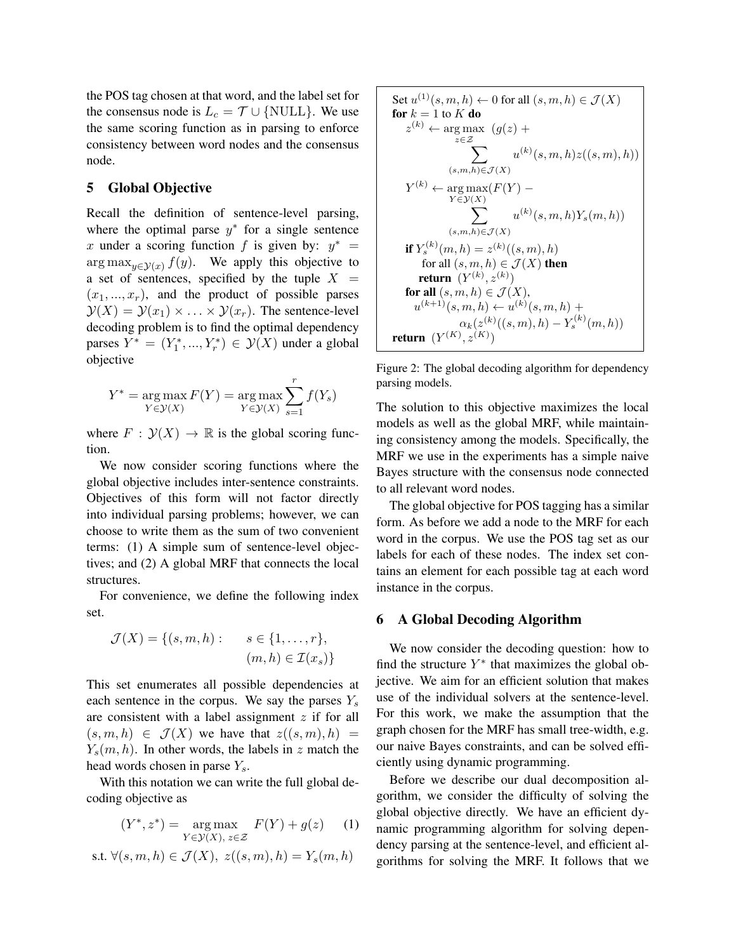the POS tag chosen at that word, and the label set for the consensus node is  $L_c = \mathcal{T} \cup \{NULL\}$ . We use the same scoring function as in parsing to enforce consistency between word nodes and the consensus node.

# 5 Global Objective

Recall the definition of sentence-level parsing, where the optimal parse  $y^*$  for a single sentence x under a scoring function f is given by:  $y^* =$  $\arg \max_{y \in \mathcal{Y}(x)} f(y)$ . We apply this objective to a set of sentences, specified by the tuple  $X =$  $(x_1, ..., x_r)$ , and the product of possible parses  $\mathcal{Y}(X) = \mathcal{Y}(x_1) \times \ldots \times \mathcal{Y}(x_r)$ . The sentence-level decoding problem is to find the optimal dependency parses  $Y^* = (Y_1^*, ..., Y_r^*) \in \mathcal{Y}(X)$  under a global objective

$$
Y^* = \underset{Y \in \mathcal{Y}(X)}{\arg \max} F(Y) = \underset{Y \in \mathcal{Y}(X)}{\arg \max} \sum_{s=1}^r f(Y_s)
$$

where  $F : \mathcal{Y}(X) \to \mathbb{R}$  is the global scoring function.

We now consider scoring functions where the global objective includes inter-sentence constraints. Objectives of this form will not factor directly into individual parsing problems; however, we can choose to write them as the sum of two convenient terms: (1) A simple sum of sentence-level objectives; and (2) A global MRF that connects the local structures.

For convenience, we define the following index set.

$$
\mathcal{J}(X) = \{(s, m, h): \quad s \in \{1, \dots, r\},\
$$

$$
(m, h) \in \mathcal{I}(x_s)\}
$$

This set enumerates all possible dependencies at each sentence in the corpus. We say the parses  $Y_s$ are consistent with a label assignment  $z$  if for all  $(s, m, h) \in \mathcal{J}(X)$  we have that  $z((s, m), h) =$  $Y_s(m, h)$ . In other words, the labels in z match the head words chosen in parse  $Y_s$ .

With this notation we can write the full global decoding objective as

$$
(Y^*, z^*) = \underset{Y \in \mathcal{Y}(X), z \in \mathcal{Z}}{\arg \max} \ F(Y) + g(z) \qquad (1)
$$

s.t.  $\forall (s, m, h) \in \mathcal{J}(X), \ z((s, m), h) = Y_s(m, h)$ 

Set 
$$
u^{(1)}(s, m, h) \leftarrow 0
$$
 for all  $(s, m, h) \in \mathcal{J}(X)$ \n**for**  $k = 1$  to  $K$  **do**\n
$$
z^{(k)} \leftarrow \arg \max_{z \in \mathcal{Z}} (g(z) + \sum_{z \in \mathcal{Z}} u^{(k)}(s, m, h)z((s, m), h))
$$
\n $(s, m, h) \in \mathcal{J}(X)$ \n $Y^{(k)} \leftarrow \arg \max_{Y \in \mathcal{Y}(X)} F(Y) - \sum_{Y \in \mathcal{Y}(X)} u^{(k)}(s, m, h)Y_s(m, h))$ \n**if**  $Y_s^{(k)}(m, h) = z^{(k)}((s, m), h)$ \n**if**  $Y_s^{(k)}(m, h) = z^{(k)}((s, m), h)$ \n**for all**  $(s, m, h) \in \mathcal{J}(X)$ \n**for all**  $(s, m, h) \in \mathcal{J}(X)$ ,\n $u^{(k+1)}(s, m, h) \leftarrow u^{(k)}(s, m, h) + \alpha_k(z^{(k)}((s, m), h) - Y_s^{(k)}(m, h))$ \n**return**  $(Y^{(K)}, z^{(K)})$ 

Figure 2: The global decoding algorithm for dependency parsing models.

The solution to this objective maximizes the local models as well as the global MRF, while maintaining consistency among the models. Specifically, the MRF we use in the experiments has a simple naive Bayes structure with the consensus node connected to all relevant word nodes.

The global objective for POS tagging has a similar form. As before we add a node to the MRF for each word in the corpus. We use the POS tag set as our labels for each of these nodes. The index set contains an element for each possible tag at each word instance in the corpus.

#### 6 A Global Decoding Algorithm

We now consider the decoding question: how to find the structure  $Y^*$  that maximizes the global objective. We aim for an efficient solution that makes use of the individual solvers at the sentence-level. For this work, we make the assumption that the graph chosen for the MRF has small tree-width, e.g. our naive Bayes constraints, and can be solved efficiently using dynamic programming.

Before we describe our dual decomposition algorithm, we consider the difficulty of solving the global objective directly. We have an efficient dynamic programming algorithm for solving dependency parsing at the sentence-level, and efficient algorithms for solving the MRF. It follows that we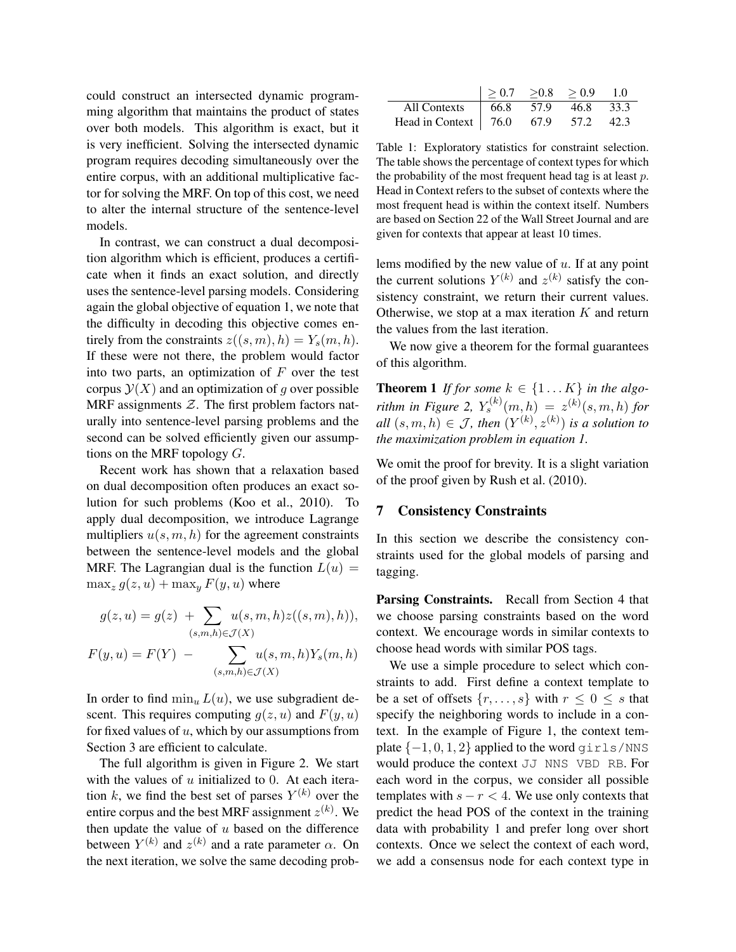could construct an intersected dynamic programming algorithm that maintains the product of states over both models. This algorithm is exact, but it is very inefficient. Solving the intersected dynamic program requires decoding simultaneously over the entire corpus, with an additional multiplicative factor for solving the MRF. On top of this cost, we need to alter the internal structure of the sentence-level models.

In contrast, we can construct a dual decomposition algorithm which is efficient, produces a certificate when it finds an exact solution, and directly uses the sentence-level parsing models. Considering again the global objective of equation 1, we note that the difficulty in decoding this objective comes entirely from the constraints  $z((s, m), h) = Y_s(m, h)$ . If these were not there, the problem would factor into two parts, an optimization of  $F$  over the test corpus  $\mathcal{Y}(X)$  and an optimization of g over possible MRF assignments  $Z$ . The first problem factors naturally into sentence-level parsing problems and the second can be solved efficiently given our assumptions on the MRF topology  $G$ .

Recent work has shown that a relaxation based on dual decomposition often produces an exact solution for such problems (Koo et al., 2010). To apply dual decomposition, we introduce Lagrange multipliers  $u(s, m, h)$  for the agreement constraints between the sentence-level models and the global MRF. The Lagrangian dual is the function  $L(u) =$  $\max_z g(z, u) + \max_u F(y, u)$  where

$$
g(z, u) = g(z) + \sum_{(s,m,h) \in \mathcal{J}(X)} u(s, m, h) z((s, m), h)),
$$

$$
F(y, u) = F(Y) - \sum_{(s,m,h) \in \mathcal{J}(X)} u(s,m,h)Y_s(m,h)
$$

In order to find  $\min_u L(u)$ , we use subgradient descent. This requires computing  $q(z, u)$  and  $F(y, u)$ for fixed values of  $u$ , which by our assumptions from Section 3 are efficient to calculate.

The full algorithm is given in Figure 2. We start with the values of  $u$  initialized to 0. At each iteration k, we find the best set of parses  $Y^{(k)}$  over the entire corpus and the best MRF assignment  $z^{(k)}$ . We then update the value of  $u$  based on the difference between  $Y^{(k)}$  and  $z^{(k)}$  and a rate parameter  $\alpha$ . On the next iteration, we solve the same decoding prob-

|                                       |  | > 0.7 > 0.8 > 0.9 1.0 |  |
|---------------------------------------|--|-----------------------|--|
| All Contexts   66.8 57.9 46.8 33.3    |  |                       |  |
| Head in Context   76.0 67.9 57.2 42.3 |  |                       |  |

Table 1: Exploratory statistics for constraint selection. The table shows the percentage of context types for which the probability of the most frequent head tag is at least  $p$ . Head in Context refers to the subset of contexts where the most frequent head is within the context itself. Numbers are based on Section 22 of the Wall Street Journal and are given for contexts that appear at least 10 times.

lems modified by the new value of  $u$ . If at any point the current solutions  $Y^{(k)}$  and  $z^{(k)}$  satisfy the consistency constraint, we return their current values. Otherwise, we stop at a max iteration  $K$  and return the values from the last iteration.

We now give a theorem for the formal guarantees of this algorithm.

**Theorem 1** If for some  $k \in \{1...K\}$  in the algo*rithm in Figure 2,*  $Y_s^{(k)}(m,h) = z^{(k)}(s,m,h)$  *for*  $all(s, m, h) \in J$ , then  $(Y^{(k)}, z^{(k)})$  is a solution to *the maximization problem in equation 1.*

We omit the proof for brevity. It is a slight variation of the proof given by Rush et al. (2010).

#### 7 Consistency Constraints

In this section we describe the consistency constraints used for the global models of parsing and tagging.

Parsing Constraints. Recall from Section 4 that we choose parsing constraints based on the word context. We encourage words in similar contexts to choose head words with similar POS tags.

We use a simple procedure to select which constraints to add. First define a context template to be a set of offsets  $\{r, \ldots, s\}$  with  $r \leq 0 \leq s$  that specify the neighboring words to include in a context. In the example of Figure 1, the context template  $\{-1, 0, 1, 2\}$  applied to the word girls/NNS would produce the context JJ NNS VBD RB. For each word in the corpus, we consider all possible templates with  $s - r < 4$ . We use only contexts that predict the head POS of the context in the training data with probability 1 and prefer long over short contexts. Once we select the context of each word, we add a consensus node for each context type in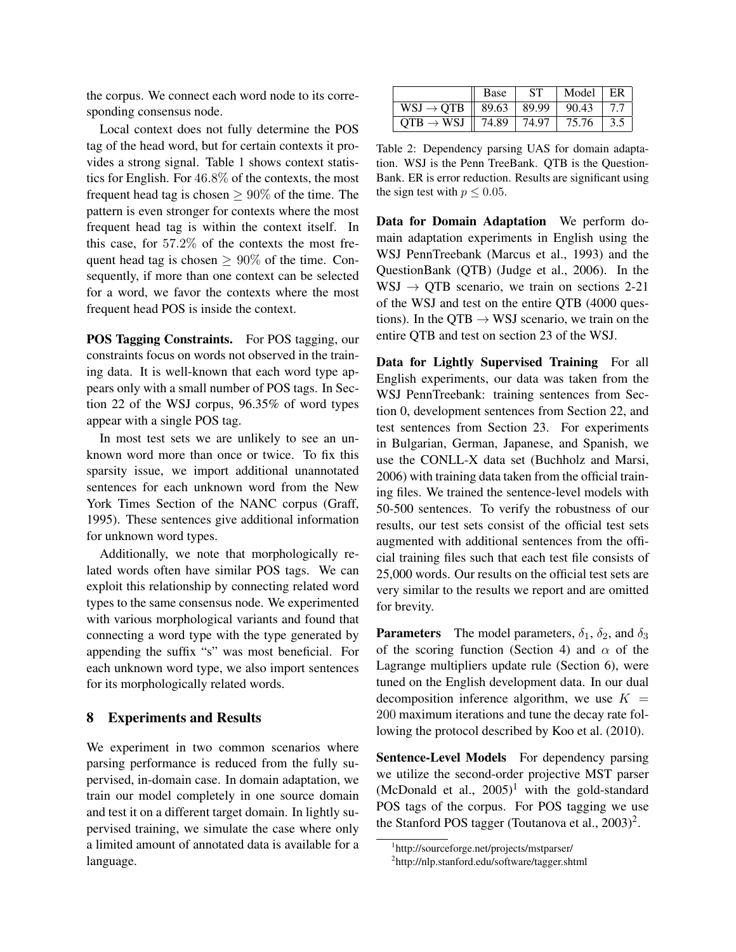the corpus. We connect each word node to its corresponding consensus node.

Local context does not fully determine the POS tag of the head word, but for certain contexts it provides a strong signal. Table 1 shows context statistics for English. For 46.8% of the contexts, the most frequent head tag is chosen  $\geq 90\%$  of the time. The pattern is even stronger for contexts where the most frequent head tag is within the context itself. In this case, for 57.2% of the contexts the most frequent head tag is chosen  $> 90\%$  of the time. Consequently, if more than one context can be selected for a word, we favor the contexts where the most frequent head POS is inside the context.

POS Tagging Constraints. For POS tagging, our constraints focus on words not observed in the training data. It is well-known that each word type appears only with a small number of POS tags. In Section 22 of the WSJ corpus, 96.35% of word types appear with a single POS tag.

In most test sets we are unlikely to see an unknown word more than once or twice. To fix this sparsity issue, we import additional unannotated sentences for each unknown word from the New York Times Section of the NANC corpus (Graff, 1995). These sentences give additional information for unknown word types.

Additionally, we note that morphologically related words often have similar POS tags. We can exploit this relationship by connecting related word types to the same consensus node. We experimented with various morphological variants and found that connecting a word type with the type generated by appending the suffix "s" was most beneficial. For each unknown word type, we also import sentences for its morphologically related words.

#### 8 Experiments and Results

We experiment in two common scenarios where parsing performance is reduced from the fully supervised, in-domain case. In domain adaptation, we train our model completely in one source domain and test it on a different target domain. In lightly supervised training, we simulate the case where only a limited amount of annotated data is available for a language.

|                                                  | Base | <b>ST</b> | Model               | $E$ R |
|--------------------------------------------------|------|-----------|---------------------|-------|
| $WSJ \rightarrow QTB \parallel 89.63 \mid 89.99$ |      |           | $\vert 90.43 \vert$ | 7.7   |
| OTB $\rightarrow$ WSJ   74.89   74.97            |      |           | 75.76               | 3.5   |

Table 2: Dependency parsing UAS for domain adaptation. WSJ is the Penn TreeBank. QTB is the Question-Bank. ER is error reduction. Results are significant using the sign test with  $p \leq 0.05$ .

Data for Domain Adaptation We perform domain adaptation experiments in English using the WSJ PennTreebank (Marcus et al., 1993) and the QuestionBank (QTB) (Judge et al., 2006). In the  $WSJ \rightarrow QTB$  scenario, we train on sections 2-21 of the WSJ and test on the entire QTB (4000 questions). In the QTB  $\rightarrow$  WSJ scenario, we train on the entire QTB and test on section 23 of the WSJ.

Data for Lightly Supervised Training For all English experiments, our data was taken from the WSJ PennTreebank: training sentences from Section 0, development sentences from Section 22, and test sentences from Section 23. For experiments in Bulgarian, German, Japanese, and Spanish, we use the CONLL-X data set (Buchholz and Marsi, 2006) with training data taken from the official training files. We trained the sentence-level models with 50-500 sentences. To verify the robustness of our results, our test sets consist of the official test sets augmented with additional sentences from the official training files such that each test file consists of 25,000 words. Our results on the official test sets are very similar to the results we report and are omitted for brevity.

**Parameters** The model parameters,  $\delta_1$ ,  $\delta_2$ , and  $\delta_3$ of the scoring function (Section 4) and  $\alpha$  of the Lagrange multipliers update rule (Section 6), were tuned on the English development data. In our dual decomposition inference algorithm, we use  $K =$ 200 maximum iterations and tune the decay rate following the protocol described by Koo et al. (2010).

Sentence-Level Models For dependency parsing we utilize the second-order projective MST parser (McDonald et al.,  $2005$ )<sup>1</sup> with the gold-standard POS tags of the corpus. For POS tagging we use the Stanford POS tagger (Toutanova et al.,  $2003$ )<sup>2</sup>.

<sup>1</sup> http://sourceforge.net/projects/mstparser/

<sup>2</sup> http://nlp.stanford.edu/software/tagger.shtml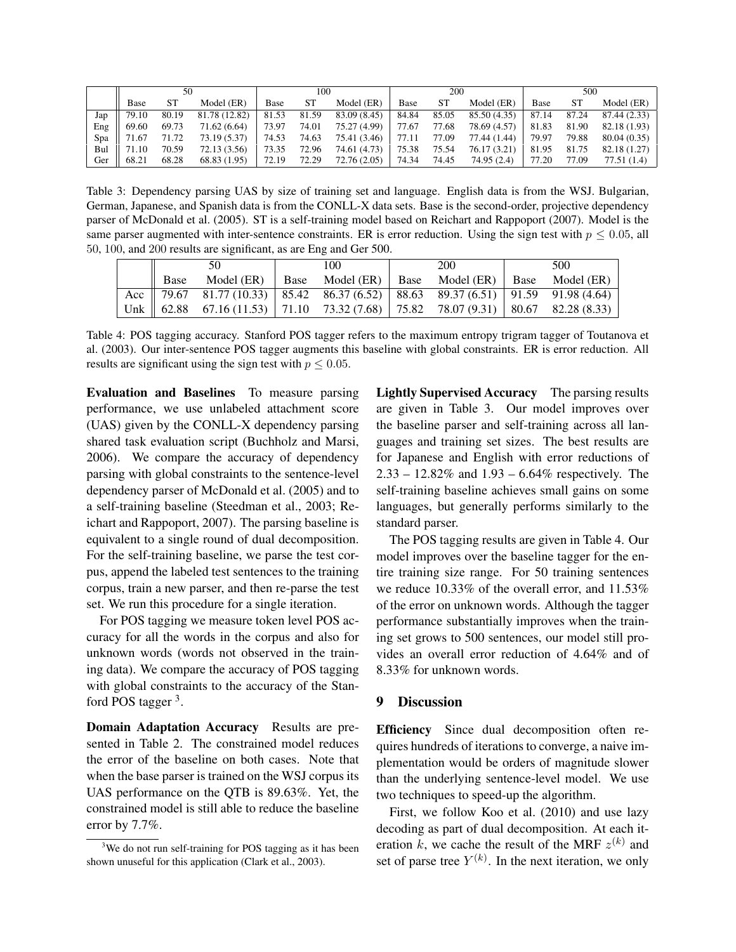|     |       | 100<br>50 |               | 200   |           |              | 500   |       |              |       |           |              |
|-----|-------|-----------|---------------|-------|-----------|--------------|-------|-------|--------------|-------|-----------|--------------|
|     | Base  | SТ        | Model (ER)    | Base  | <b>ST</b> | Model (ER)   | Base  | SТ    | Model (ER)   | Base  | <b>ST</b> | Model (ER)   |
| Jap | 79.10 | 80.19     | 81.78 (12.82) | 81.53 | 81.59     | 83.09 (8.45) | 84.84 | 85.05 | 85.50 (4.35) | 87.14 | 87.24     | 87.44 (2.33) |
| Eng | 69.60 | 69.73     | 71.62 (6.64)  | 73.97 | 74.01     | 75.27 (4.99) | 77.67 | 77.68 | 78.69 (4.57) | 81.83 | 81.90     | 82.18 (1.93) |
| Spa | 71.67 | 71.72     | 73.19 (5.37)  | 74.53 | 74.63     | 75.41 (3.46) | 77.11 | 77.09 | 77.44 (1.44) | 79.97 | 79.88     | 80.04 (0.35) |
| Bul | 71.10 | 70.59     | 72.13 (3.56)  | 73.35 | 72.96     | 74.61 (4.73) | 75.38 | 75.54 | 76.17 (3.21) | 81.95 | 81.75     | 82.18 (1.27) |
| Ger | 68.21 | 68.28     | 68.83 (1.95)  | 72.19 | 72.29     | 72.76 (2.05) | 74.34 | 74.45 | 74.95(2.4)   | 77.20 | 77.09     | 77.51 (1.4)  |

Table 3: Dependency parsing UAS by size of training set and language. English data is from the WSJ. Bulgarian, German, Japanese, and Spanish data is from the CONLL-X data sets. Base is the second-order, projective dependency parser of McDonald et al. (2005). ST is a self-training model based on Reichart and Rappoport (2007). Model is the same parser augmented with inter-sentence constraints. ER is error reduction. Using the sign test with  $p \le 0.05$ , all 50, 100, and 200 results are significant, as are Eng and Ger 500.

| 50   |                                                                                              | 100 |  | <b>200</b> |                                                                  | 500 |  |
|------|----------------------------------------------------------------------------------------------|-----|--|------------|------------------------------------------------------------------|-----|--|
| Base |                                                                                              |     |  |            | Model (ER)   Base Model (ER)   Base Model (ER)   Base Model (ER) |     |  |
|      | Acc   79.67 81.77 (10.33)   85.42 86.37 (6.52)   88.63 89.37 (6.51)   91.59 91.98 (4.64)     |     |  |            |                                                                  |     |  |
|      | Unk $\parallel$ 62.88 67.16 (11.53) 71.10 73.32 (7.68) 75.82 78.07 (9.31) 80.67 82.28 (8.33) |     |  |            |                                                                  |     |  |

Table 4: POS tagging accuracy. Stanford POS tagger refers to the maximum entropy trigram tagger of Toutanova et al. (2003). Our inter-sentence POS tagger augments this baseline with global constraints. ER is error reduction. All results are significant using the sign test with  $p \leq 0.05$ .

Evaluation and Baselines To measure parsing performance, we use unlabeled attachment score (UAS) given by the CONLL-X dependency parsing shared task evaluation script (Buchholz and Marsi, 2006). We compare the accuracy of dependency parsing with global constraints to the sentence-level dependency parser of McDonald et al. (2005) and to a self-training baseline (Steedman et al., 2003; Reichart and Rappoport, 2007). The parsing baseline is equivalent to a single round of dual decomposition. For the self-training baseline, we parse the test corpus, append the labeled test sentences to the training corpus, train a new parser, and then re-parse the test set. We run this procedure for a single iteration.

For POS tagging we measure token level POS accuracy for all the words in the corpus and also for unknown words (words not observed in the training data). We compare the accuracy of POS tagging with global constraints to the accuracy of the Stanford POS tagger<sup>3</sup>.

Domain Adaptation Accuracy Results are presented in Table 2. The constrained model reduces the error of the baseline on both cases. Note that when the base parser is trained on the WSJ corpus its UAS performance on the QTB is 89.63%. Yet, the constrained model is still able to reduce the baseline error by 7.7%.

Lightly Supervised Accuracy The parsing results are given in Table 3. Our model improves over the baseline parser and self-training across all languages and training set sizes. The best results are for Japanese and English with error reductions of 2.33 – 12.82% and 1.93 – 6.64% respectively. The self-training baseline achieves small gains on some languages, but generally performs similarly to the standard parser.

The POS tagging results are given in Table 4. Our model improves over the baseline tagger for the entire training size range. For 50 training sentences we reduce 10.33% of the overall error, and 11.53% of the error on unknown words. Although the tagger performance substantially improves when the training set grows to 500 sentences, our model still provides an overall error reduction of 4.64% and of 8.33% for unknown words.

## 9 Discussion

Efficiency Since dual decomposition often requires hundreds of iterations to converge, a naive implementation would be orders of magnitude slower than the underlying sentence-level model. We use two techniques to speed-up the algorithm.

First, we follow Koo et al. (2010) and use lazy decoding as part of dual decomposition. At each iteration k, we cache the result of the MRF  $z^{(k)}$  and set of parse tree  $Y^{(k)}$ . In the next iteration, we only

<sup>&</sup>lt;sup>3</sup>We do not run self-training for POS tagging as it has been shown unuseful for this application (Clark et al., 2003).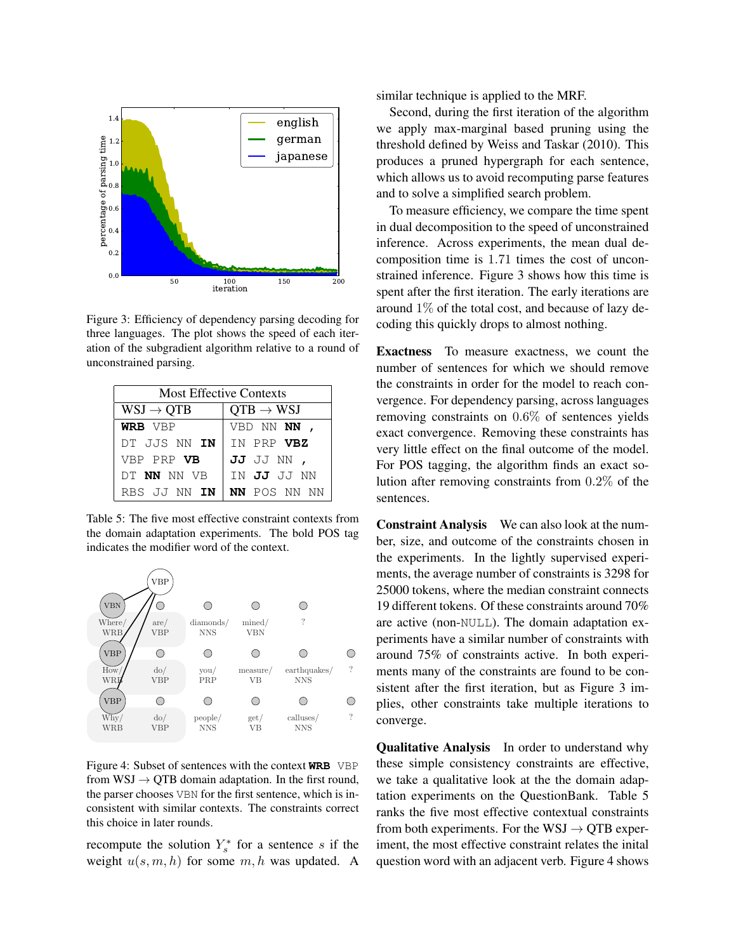

Figure 3: Efficiency of dependency parsing decoding for three languages. The plot shows the speed of each iteration of the subgradient algorithm relative to a round of unconstrained parsing.

| <b>Most Effective Contexts</b> |                       |  |  |  |  |
|--------------------------------|-----------------------|--|--|--|--|
| $WSJ \rightarrow QTB$          | $QTB \rightarrow WSI$ |  |  |  |  |
| WRB VBP                        | VBD NN NN ,           |  |  |  |  |
| DT JJS NN <b>IN</b>            | IN PRP VBZ            |  |  |  |  |
| VBP PRP VB                     | JJ JJ NN ,            |  |  |  |  |
| DT NN NN VB                    | TN <b>JJ</b> JJ NN    |  |  |  |  |
| RBS JJ NN IN                   | NN POS NN NN          |  |  |  |  |

Table 5: The five most effective constraint contexts from the domain adaptation experiments. The bold POS tag indicates the modifier word of the context.



Figure 4: Subset of sentences with the context **WRB** VBP from  $WSJ \rightarrow QTB$  domain adaptation. In the first round, the parser chooses VBN for the first sentence, which is inconsistent with similar contexts. The constraints correct this choice in later rounds.

recompute the solution  $Y_s^*$  for a sentence s if the weight  $u(s, m, h)$  for some  $m, h$  was updated. A similar technique is applied to the MRF.

Second, during the first iteration of the algorithm we apply max-marginal based pruning using the threshold defined by Weiss and Taskar (2010). This produces a pruned hypergraph for each sentence, which allows us to avoid recomputing parse features and to solve a simplified search problem.

To measure efficiency, we compare the time spent in dual decomposition to the speed of unconstrained inference. Across experiments, the mean dual decomposition time is 1.71 times the cost of unconstrained inference. Figure 3 shows how this time is spent after the first iteration. The early iterations are around 1% of the total cost, and because of lazy decoding this quickly drops to almost nothing.

Exactness To measure exactness, we count the number of sentences for which we should remove the constraints in order for the model to reach convergence. For dependency parsing, across languages removing constraints on 0.6% of sentences yields exact convergence. Removing these constraints has very little effect on the final outcome of the model. For POS tagging, the algorithm finds an exact solution after removing constraints from 0.2% of the sentences.

Constraint Analysis We can also look at the number, size, and outcome of the constraints chosen in the experiments. In the lightly supervised experiments, the average number of constraints is 3298 for 25000 tokens, where the median constraint connects 19 different tokens. Of these constraints around 70% are active (non-NULL). The domain adaptation experiments have a similar number of constraints with around 75% of constraints active. In both experiments many of the constraints are found to be consistent after the first iteration, but as Figure 3 implies, other constraints take multiple iterations to converge.

Qualitative Analysis In order to understand why these simple consistency constraints are effective, we take a qualitative look at the the domain adaptation experiments on the QuestionBank. Table 5 ranks the five most effective contextual constraints from both experiments. For the WSJ  $\rightarrow$  QTB experiment, the most effective constraint relates the inital question word with an adjacent verb. Figure 4 shows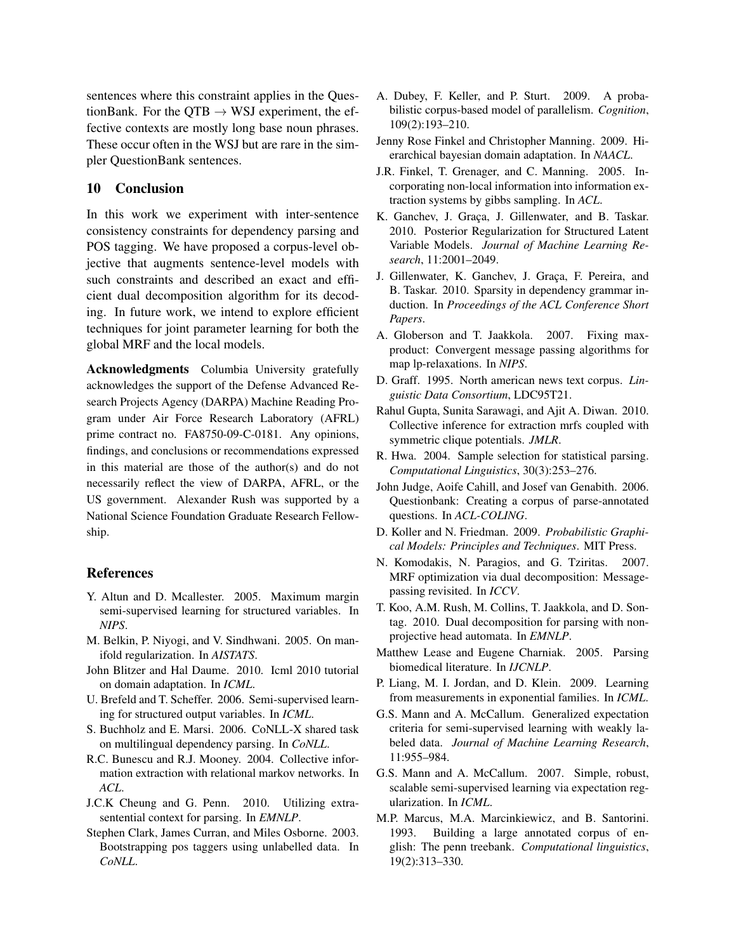sentences where this constraint applies in the QuestionBank. For the QTB  $\rightarrow$  WSJ experiment, the effective contexts are mostly long base noun phrases. These occur often in the WSJ but are rare in the simpler QuestionBank sentences.

# 10 Conclusion

In this work we experiment with inter-sentence consistency constraints for dependency parsing and POS tagging. We have proposed a corpus-level objective that augments sentence-level models with such constraints and described an exact and efficient dual decomposition algorithm for its decoding. In future work, we intend to explore efficient techniques for joint parameter learning for both the global MRF and the local models.

Acknowledgments Columbia University gratefully acknowledges the support of the Defense Advanced Research Projects Agency (DARPA) Machine Reading Program under Air Force Research Laboratory (AFRL) prime contract no. FA8750-09-C-0181. Any opinions, findings, and conclusions or recommendations expressed in this material are those of the author(s) and do not necessarily reflect the view of DARPA, AFRL, or the US government. Alexander Rush was supported by a National Science Foundation Graduate Research Fellowship.

#### References

- Y. Altun and D. Mcallester. 2005. Maximum margin semi-supervised learning for structured variables. In *NIPS*.
- M. Belkin, P. Niyogi, and V. Sindhwani. 2005. On manifold regularization. In *AISTATS*.
- John Blitzer and Hal Daume. 2010. Icml 2010 tutorial on domain adaptation. In *ICML*.
- U. Brefeld and T. Scheffer. 2006. Semi-supervised learning for structured output variables. In *ICML*.
- S. Buchholz and E. Marsi. 2006. CoNLL-X shared task on multilingual dependency parsing. In *CoNLL*.
- R.C. Bunescu and R.J. Mooney. 2004. Collective information extraction with relational markov networks. In *ACL*.
- J.C.K Cheung and G. Penn. 2010. Utilizing extrasentential context for parsing. In *EMNLP*.
- Stephen Clark, James Curran, and Miles Osborne. 2003. Bootstrapping pos taggers using unlabelled data. In *CoNLL*.
- A. Dubey, F. Keller, and P. Sturt. 2009. A probabilistic corpus-based model of parallelism. *Cognition*, 109(2):193–210.
- Jenny Rose Finkel and Christopher Manning. 2009. Hierarchical bayesian domain adaptation. In *NAACL*.
- J.R. Finkel, T. Grenager, and C. Manning. 2005. Incorporating non-local information into information extraction systems by gibbs sampling. In *ACL*.
- K. Ganchev, J. Graça, J. Gillenwater, and B. Taskar. 2010. Posterior Regularization for Structured Latent Variable Models. *Journal of Machine Learning Research*, 11:2001–2049.
- J. Gillenwater, K. Ganchev, J. Graca, F. Pereira, and B. Taskar. 2010. Sparsity in dependency grammar induction. In *Proceedings of the ACL Conference Short Papers*.
- A. Globerson and T. Jaakkola. 2007. Fixing maxproduct: Convergent message passing algorithms for map lp-relaxations. In *NIPS*.
- D. Graff. 1995. North american news text corpus. *Linguistic Data Consortium*, LDC95T21.
- Rahul Gupta, Sunita Sarawagi, and Ajit A. Diwan. 2010. Collective inference for extraction mrfs coupled with symmetric clique potentials. *JMLR*.
- R. Hwa. 2004. Sample selection for statistical parsing. *Computational Linguistics*, 30(3):253–276.
- John Judge, Aoife Cahill, and Josef van Genabith. 2006. Questionbank: Creating a corpus of parse-annotated questions. In *ACL-COLING*.
- D. Koller and N. Friedman. 2009. *Probabilistic Graphical Models: Principles and Techniques*. MIT Press.
- N. Komodakis, N. Paragios, and G. Tziritas. 2007. MRF optimization via dual decomposition: Messagepassing revisited. In *ICCV*.
- T. Koo, A.M. Rush, M. Collins, T. Jaakkola, and D. Sontag. 2010. Dual decomposition for parsing with nonprojective head automata. In *EMNLP*.
- Matthew Lease and Eugene Charniak. 2005. Parsing biomedical literature. In *IJCNLP*.
- P. Liang, M. I. Jordan, and D. Klein. 2009. Learning from measurements in exponential families. In *ICML*.
- G.S. Mann and A. McCallum. Generalized expectation criteria for semi-supervised learning with weakly labeled data. *Journal of Machine Learning Research*, 11:955–984.
- G.S. Mann and A. McCallum. 2007. Simple, robust, scalable semi-supervised learning via expectation regularization. In *ICML*.
- M.P. Marcus, M.A. Marcinkiewicz, and B. Santorini. 1993. Building a large annotated corpus of english: The penn treebank. *Computational linguistics*, 19(2):313–330.